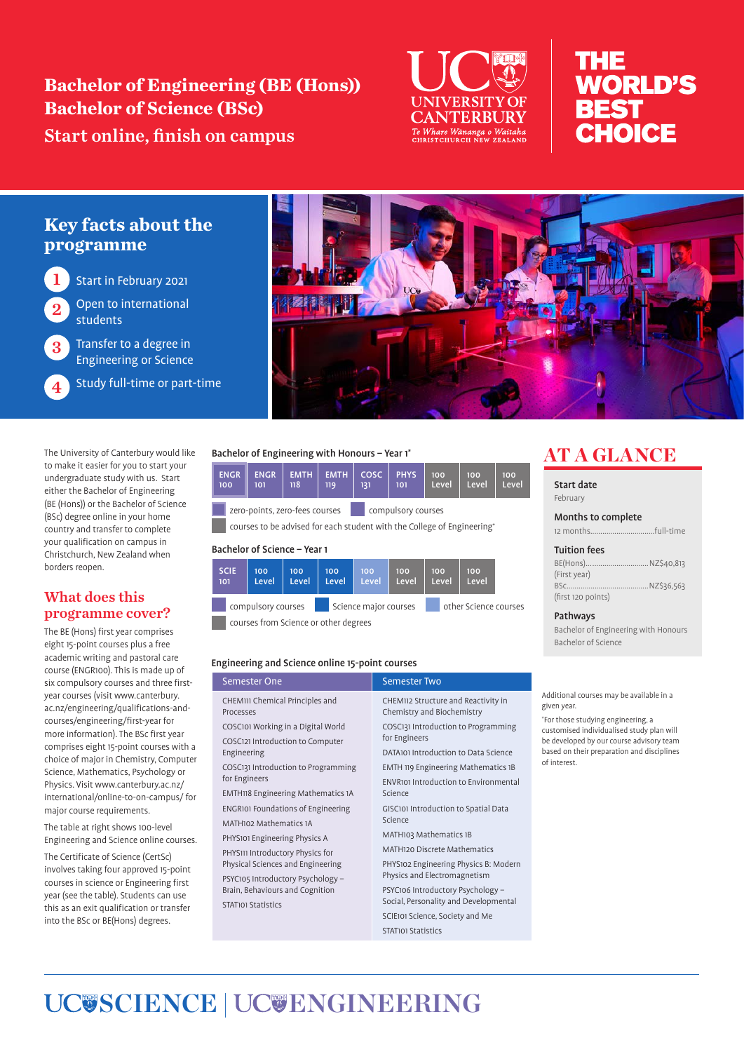**Bachelor of Engineering (BE (Hons)) Bachelor of Science (BSc)** Start online, finish on campus



# THE **WORLD'S BEST CHOICE**

## **Key facts about the programme**

1 Start in February 2021

Open to international students

Transfer to a degree in Engineering or Science

Study full-time or part-time

The University of Canterbury would like to make it easier for you to start your undergraduate study with us. Start either the Bachelor of Engineering (BE (Hons)) or the Bachelor of Science (BSc) degree online in your home country and transfer to complete your qualification on campus in Christchurch, New Zealand when borders reopen.

### What does this programme cover?

The BE (Hons) first year comprises eight 15-point courses plus a free academic writing and pastoral care course (ENGR100). This is made up of six compulsory courses and three firstyear courses (visit www.canterbury. ac.nz/engineering/qualifications-andcourses/engineering/first-year for more information). The BSc first year comprises eight 15-point courses with a choice of major in Chemistry, Computer Science, Mathematics, Psychology or Physics. Visit www.canterbury.ac.nz/ international/online-to-on-campus/ for major course requirements.

The table at right shows 100-level Engineering and Science online courses.

The Certificate of Science (CertSc) involves taking four approved 15-point courses in science or Engineering first year (see the table). Students can use this as an exit qualification or transfer into the BSc or BE(Hons) degrees.



#### Bachelor of Engineering with Honours – Year 1\*

EMTH

100 101 118 119 131 101 zero-points, zero-fees courses compulsory courses

EMTH

courses to be advised for each student with the College of Engineering\*

COSC

PHYS

100 Leve 100 Level 100 Level

#### Bachelor of Science – Year 1

ENGR

ENGR

| <b>SCIE</b><br>101                    | 100<br>Level       | 100<br>Level | 100<br>Level          | 100<br>Level | 100<br>Level          | 100<br>Level | 100<br>Level |  |
|---------------------------------------|--------------------|--------------|-----------------------|--------------|-----------------------|--------------|--------------|--|
|                                       | compulsory courses |              | Science major courses |              | other Science courses |              |              |  |
| courses from Science or other degrees |                    |              |                       |              |                       |              |              |  |

Engineering and Science online 15-point courses

| Semester One                                 | <b>Semester Two</b>                                               |  |  |
|----------------------------------------------|-------------------------------------------------------------------|--|--|
| CHEM111 Chemical Principles and<br>Processes | CHEM112 Structure and Reactivity in<br>Chemistry and Biochemistry |  |  |
| COSCI01 Working in a Digital World           | COSC131 Introduction to Programming                               |  |  |
| COSC121 Introduction to Computer             | for Engineers                                                     |  |  |
| Engineering                                  | DATA101 Introduction to Data Science                              |  |  |
| COSC131 Introduction to Programming          | EMTH 119 Engineering Mathematics 1B                               |  |  |
| for Engineers                                | <b>ENVR101 Introduction to Environmental</b><br>Science           |  |  |
| <b>EMTH118 Engineering Mathematics 1A</b>    |                                                                   |  |  |
| <b>ENGRIOI Foundations of Engineering</b>    | GISC101 Introduction to Spatial Data                              |  |  |
| MATH102 Mathematics 1A                       | Science                                                           |  |  |
| PHYS101 Engineering Physics A                | MATH103 Mathematics 1B                                            |  |  |
| PHYS111 Introductory Physics for             | <b>MATH120 Discrete Mathematics</b>                               |  |  |
| Physical Sciences and Engineering            | PHYS102 Engineering Physics B: Modern                             |  |  |
| PSYC105 Introductory Psychology -            | Physics and Electromagnetism                                      |  |  |
| Brain, Behaviours and Cognition              | PSYC106 Introductory Psychology -                                 |  |  |
| <b>STAT101 Statistics</b>                    | Social, Personality and Developmental                             |  |  |
|                                              | SCIE101 Science, Society and Me                                   |  |  |
|                                              | STATIOI Statistics                                                |  |  |

# AT A GLANCE

Start date February

Months to complete

12 months................................full-time

#### Tuition fees

| (First year)       |  |
|--------------------|--|
|                    |  |
| (first 120 points) |  |

#### Pathways

Bachelor of Engineering with Honours Bachelor of Science

Additional courses may be available in a given year.

\* For those studying engineering, a customised individualised study plan will be developed by our course advisory team based on their preparation and disciplines of interest.